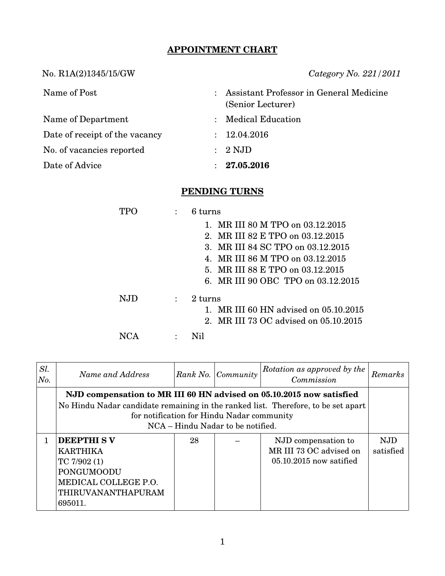## **APPOINTMENT CHART**

No. R1A(2)1345/15/GW *Category No. 221/2011*

| Name of Post                   | $\mathcal{L}$ | Assistant Professor in General Medicine<br>(Senior Lecturer) |
|--------------------------------|---------------|--------------------------------------------------------------|
| Name of Department             |               | : Medical Education                                          |
| Date of receipt of the vacancy |               | : 12.04.2016                                                 |
| No. of vacancies reported      |               | $: 2 \text{ NJD}$                                            |
| Date of Advice                 |               | 27.05.2016                                                   |

## **PENDING TURNS**

|      |                | 6 turns                               |
|------|----------------|---------------------------------------|
|      |                | 1. MR III 80 M TPO on 03.12.2015      |
|      |                | 2. MR III 82 E TPO on 03.12.2015      |
|      |                | 3. MR III 84 SC TPO on 03.12.2015     |
|      |                | 4. MR III 86 M TPO on 03.12.2015      |
|      |                | 5. MR III 88 E TPO on 03.12.2015      |
|      |                | 6. MR III 90 OBC TPO on 03.12.2015    |
| N.ID | $\ddot{\cdot}$ | $2 \text{ turns}$                     |
|      |                | 1. MR III 60 HN advised on 05.10.2015 |
|      |                | 2. MR III 73 OC advised on 05.10.2015 |
|      |                |                                       |

| Sl.<br>No. | Name and Address                                                                                                                                                                                                                             |    | Rank No. Community | Rotation as approved by the<br>Commission                                   | Remarks          |
|------------|----------------------------------------------------------------------------------------------------------------------------------------------------------------------------------------------------------------------------------------------|----|--------------------|-----------------------------------------------------------------------------|------------------|
|            | NJD compensation to MR III 60 HN advised on 05.10.2015 now satisfied<br>No Hindu Nadar candidate remaining in the ranked list. Therefore, to be set apart<br>for notification for Hindu Nadar community<br>NCA – Hindu Nadar to be notified. |    |                    |                                                                             |                  |
| 1          | <b>DEEPTHI SV</b><br><b>KARTHIKA</b><br>TC $7/902(1)$<br>PONGUMOODU<br>MEDICAL COLLEGE P.O.<br><b>THIRUVANANTHAPURAM</b><br>695011.                                                                                                          | 28 |                    | NJD compensation to<br>MR III 73 OC advised on<br>$05.10.2015$ now satified | NJD<br>satisfied |